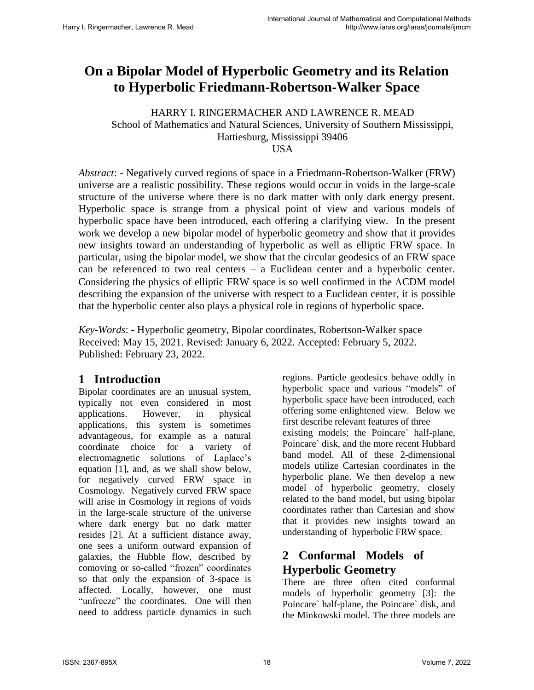# **On a Bipolar Model of Hyperbolic Geometry and its Relation to Hyperbolic Friedmann-Robertson-Walker Space**

 HARRY I. RINGERMACHER AND LAWRENCE R. MEAD School of Mathematics and Natural Sciences, University of Southern Mississippi, Hattiesburg, Mississippi 39406 USA

*Abstract*: - Negatively curved regions of space in a Friedmann-Robertson-Walker (FRW) universe are a realistic possibility. These regions would occur in voids in the large-scale structure of the universe where there is no dark matter with only dark energy present. Hyperbolic space is strange from a physical point of view and various models of hyperbolic space have been introduced, each offering a clarifying view. In the present work we develop a new bipolar model of hyperbolic geometry and show that it provides new insights toward an understanding of hyperbolic as well as elliptic FRW space. In particular, using the bipolar model, we show that the circular geodesics of an FRW space can be referenced to two real centers – a Euclidean center and a hyperbolic center. Considering the physics of elliptic FRW space is so well confirmed in the  $\Lambda$ CDM model describing the expansion of the universe with respect to a Euclidean center, it is possible that the hyperbolic center also plays a physical role in regions of hyperbolic space.

*Key-Words*: - Hyperbolic geometry, Bipolar coordinates, Robertson-Walker space Received: May 15, 2021. Revised: January 6, 2022. Accepted: February 5, 2022. Published: February 23, 2022.

### **1 Introduction**

Bipolar coordinates are an unusual system, typically not even considered in most applications. However, in physical applications, this system is sometimes advantageous, for example as a natural coordinate choice for a variety of electromagnetic solutions of Laplace's equation [1], and, as we shall show below, for negatively curved FRW space in Cosmology. Negatively curved FRW space will arise in Cosmology in regions of voids in the large-scale structure of the universe where dark energy but no dark matter resides [2]. At a sufficient distance away, one sees a uniform outward expansion of galaxies, the Hubble flow, described by comoving or so-called "frozen" coordinates so that only the expansion of 3-space is affected. Locally, however, one must "unfreeze" the coordinates. One will then need to address particle dynamics in such

regions. Particle geodesics behave oddly in hyperbolic space and various "models" of hyperbolic space have been introduced, each offering some enlightened view. Below we first describe relevant features of three existing models; the Poincare` half-plane, Poincare` disk, and the more recent Hubbard band model. All of these 2-dimensional models utilize Cartesian coordinates in the hyperbolic plane. We then develop a new model of hyperbolic geometry, closely related to the band model, but using bipolar coordinates rather than Cartesian and show that it provides new insights toward an understanding of hyperbolic FRW space.

## **2 Conformal Models of Hyperbolic Geometry**

There are three often cited conformal models of hyperbolic geometry [3]: the Poincare` half-plane, the Poincare` disk, and the Minkowski model. The three models are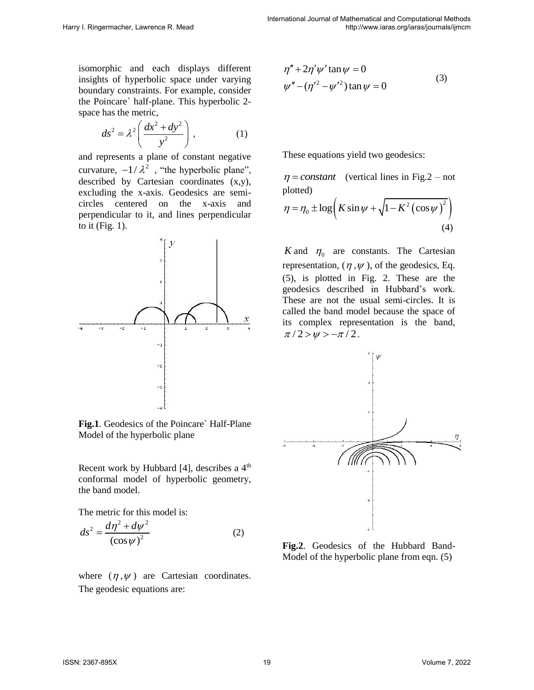isomorphic and each displays different insights of hyperbolic space under varying boundary constraints. For example, consider the Poincare` half-plane. This hyperbolic 2 space has the metric,

$$
ds^2 = \lambda^2 \left( \frac{dx^2 + dy^2}{y^2} \right), \tag{1}
$$

and represents a plane of constant negative curvature,  $-1/\lambda^2$ , "the hyperbolic plane", described by Cartesian coordinates (x,y), excluding the x-axis. Geodesics are semicircles centered on the x-axis and perpendicular to it, and lines perpendicular to it (Fig. 1).



**Fig.1**. Geodesics of the Poincare` Half-Plane Model of the hyperbolic plane

Recent work by Hubbard [4], describes a  $4<sup>th</sup>$ conformal model of hyperbolic geometry, the band model.

The metric for this model is:

$$
ds^2 = \frac{d\eta^2 + d\psi^2}{\left(\cos\psi\right)^2} \tag{2}
$$

where  $(\eta, \psi)$  are Cartesian coordinates. The geodesic equations are:

$$
\eta'' + 2\eta' \psi' \tan \psi = 0
$$
  

$$
\psi'' - (\eta'^2 - \psi'^2) \tan \psi = 0
$$
 (3)

These equations yield two geodesics:

 $\eta$  = *constant* (vertical lines in Fig. 2 – not plotted)

plotted)  
\n
$$
\eta = \eta_0 \pm \log \left( K \sin \psi + \sqrt{1 - K^2 (\cos \psi)^2} \right)
$$
\n(4)

*K* and  $\eta_0$  are constants. The Cartesian representation,  $(\eta, \psi)$ , of the geodesics, Eq. (5), is plotted in Fig. 2. These are the geodesics described in Hubbard's work. These are not the usual semi-circles. It is called the band model because the space of its complex representation is the band,  $\pi/2 > w > -\pi/2$ .



**Fig.2**. Geodesics of the Hubbard Band-Model of the hyperbolic plane from eqn. (5)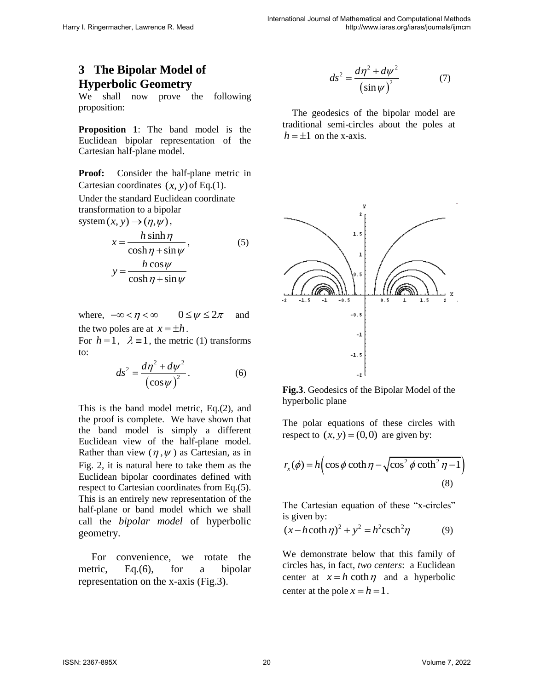### **3 The Bipolar Model of Hyperbolic Geometry**

We shall now prove the following proposition:

**Proposition 1**: The band model is the Euclidean bipolar representation of the Cartesian half-plane model.

**Proof:** Consider the half-plane metric in Cartesian coordinates  $(x, y)$  of Eq.(1).

Under the standard Euclidean coordinate transformation to a bipolar

system 
$$
(x, y) \rightarrow (\eta, \psi)
$$
,  
\n
$$
x = \frac{h \sinh \eta}{\cosh \eta + \sin \psi},
$$
\n
$$
y = \frac{h \cos \psi}{\cosh \eta + \sin \psi}
$$
\n(5)

$$
y - \frac{\cosh \eta + \sin \psi}{\cosh \eta + \sin \psi}
$$

where,  $-\infty < \eta < \infty$   $0 \le \psi \le 2\pi$  and the two poles are at  $x = \pm h$ .

For  $h = 1$ ,  $\lambda \equiv 1$ , the metric (1) transforms to:

$$
ds^{2} = \frac{d\eta^{2} + d\psi^{2}}{\left(\cos\psi\right)^{2}}.
$$
 (6)

This is the band model metric, Eq.(2), and the proof is complete. We have shown that the band model is simply a different Euclidean view of the half-plane model. Rather than view  $(\eta, \psi)$  as Cartesian, as in Fig. 2, it is natural here to take them as the Euclidean bipolar coordinates defined with respect to Cartesian coordinates from Eq.(5). This is an entirely new representation of the half-plane or band model which we shall call the *bipolar model* of hyperbolic geometry.

 For convenience, we rotate the metric, Eq.(6), for a bipolar representation on the x-axis (Fig.3).

$$
ds^{2} = \frac{d\eta^{2} + d\psi^{2}}{\left(\sin\psi\right)^{2}}\tag{7}
$$

 The geodesics of the bipolar model are traditional semi-circles about the poles at  $h = \pm 1$  on the x-axis.



**Fig.3**. Geodesics of the Bipolar Model of the hyperbolic plane

The polar equations of these circles with respect to  $(x, y) = (0, 0)$  are given by:

$$
r_x(\phi) = h\left(\cos\phi\coth\eta - \sqrt{\cos^2\phi\coth^2\eta - 1}\right)
$$
\n(8)

The Cartesian equation of these "x-circles" is given by:

is given by:  
\n
$$
(x-h \coth \eta)^2 + y^2 = h^2 \operatorname{csch}^2 \eta
$$
\n(9)

We demonstrate below that this family of circles has, in fact, *two centers*: a Euclidean center at  $x = h \coth \eta$  and a hyperbolic center at the pole  $x = h = 1$ .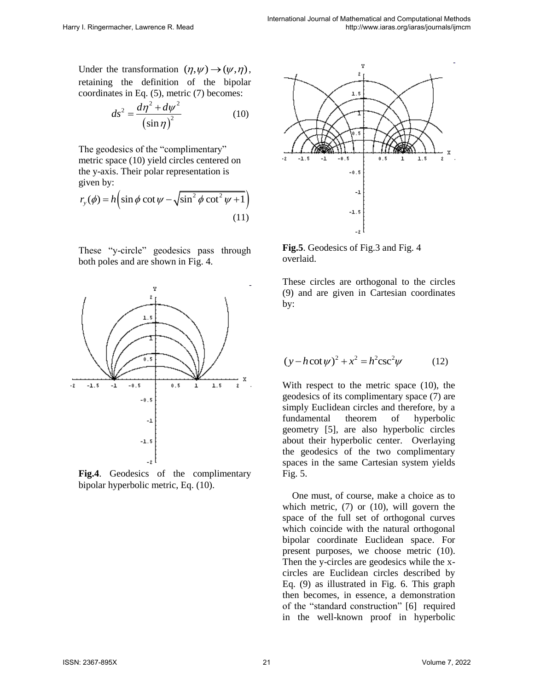Under the transformation  $(\eta, \psi) \rightarrow (\psi, \eta)$ , retaining the definition of the bipolar coordinates in Eq. (5), metric (7) becomes:

$$
ds^2 = \frac{d\eta^2 + d\psi^2}{\left(\sin \eta\right)^2} \tag{10}
$$

The geodesics of the "complimentary" metric space (10) yield circles centered on the y-axis. Their polar representation is given by:

given by:  
\n
$$
r_{y}(\phi) = h \left( \sin \phi \cot \psi - \sqrt{\sin^{2} \phi \cot^{2} \psi + 1} \right)
$$
\n(11)

These "y-circle" geodesics pass through both poles and are shown in Fig. 4.



**Fig.4**. Geodesics of the complimentary bipolar hyperbolic metric, Eq. (10).



**Fig.5**. Geodesics of Fig.3 and Fig. 4 overlaid.

These circles are orthogonal to the circles (9) and are given in Cartesian coordinates by:

$$
(y - h \cot \psi)^2 + x^2 = h^2 \csc^2 \psi
$$
 (12)

With respect to the metric space (10), the geodesics of its complimentary space (7) are simply Euclidean circles and therefore, by a fundamental theorem of hyperbolic geometry [5], are also hyperbolic circles about their hyperbolic center. Overlaying the geodesics of the two complimentary spaces in the same Cartesian system yields Fig. 5.

 One must, of course, make a choice as to which metric, (7) or (10), will govern the space of the full set of orthogonal curves which coincide with the natural orthogonal bipolar coordinate Euclidean space. For present purposes, we choose metric (10). Then the y-circles are geodesics while the xcircles are Euclidean circles described by Eq. (9) as illustrated in Fig. 6. This graph then becomes, in essence, a demonstration of the "standard construction" [6] required in the well-known proof in hyperbolic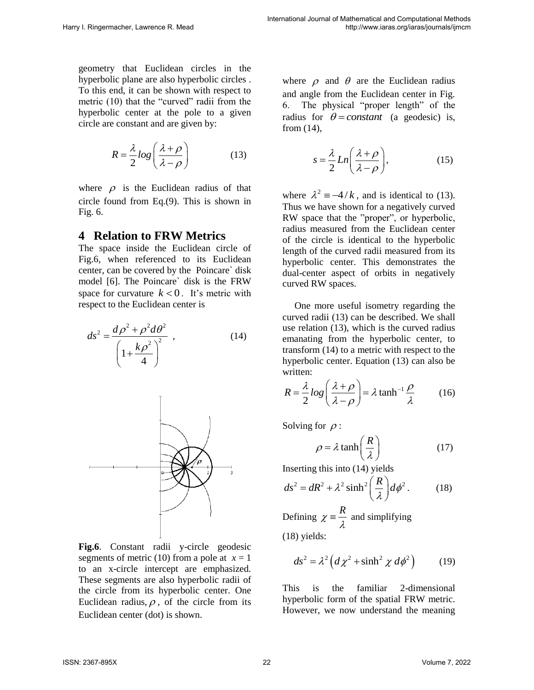geometry that Euclidean circles in the hyperbolic plane are also hyperbolic circles . To this end, it can be shown with respect to metric (10) that the "curved" radii from the hyperbolic center at the pole to a given circle are constant and are given by:

$$
R = \frac{\lambda}{2} \log \left( \frac{\lambda + \rho}{\lambda - \rho} \right) \tag{13}
$$

where  $\rho$  is the Euclidean radius of that circle found from Eq.(9). This is shown in Fig. 6.

#### **4 Relation to FRW Metrics**

The space inside the Euclidean circle of Fig.6, when referenced to its Euclidean center, can be covered by the Poincare` disk model [6]. The Poincare` disk is the FRW space for curvature  $k < 0$ . It's metric with respect to the Euclidean center is

$$
ds^{2} = \frac{d\rho^{2} + \rho^{2}d\theta^{2}}{\left(1 + \frac{k\rho^{2}}{4}\right)^{2}},
$$
 (14)



**Fig.6**. Constant radii y-circle geodesic segments of metric (10) from a pole at  $x = 1$ to an x-circle intercept are emphasized. These segments are also hyperbolic radii of the circle from its hyperbolic center. One Euclidean radius,  $\rho$ , of the circle from its Euclidean center (dot) is shown.

where  $\rho$  and  $\theta$  are the Euclidean radius and angle from the Euclidean center in Fig. 6. The physical "proper length" of the radius for  $\theta = constant$  (a geodesic) is, from (14),

$$
s = \frac{\lambda}{2} Ln\left(\frac{\lambda + \rho}{\lambda - \rho}\right),
$$
 (15)

where  $\lambda^2 = -4/k$ , and is identical to (13). Thus we have shown for a negatively curved RW space that the "proper", or hyperbolic, radius measured from the Euclidean center of the circle is identical to the hyperbolic length of the curved radii measured from its hyperbolic center. This demonstrates the dual-center aspect of orbits in negatively curved RW spaces.

 One more useful isometry regarding the curved radii (13) can be described. We shall use relation (13), which is the curved radius emanating from the hyperbolic center, to transform (14) to a metric with respect to the hyperbolic center. Equation (13) can also be written:

written:  
\n
$$
R = \frac{\lambda}{2} \log \left( \frac{\lambda + \rho}{\lambda - \rho} \right) = \lambda \tanh^{-1} \frac{\rho}{\lambda}
$$
\n(16)

Solving for  $\rho$ :

$$
\rho = \lambda \tanh\left(\frac{R}{\lambda}\right) \tag{17}
$$

Inserting this into (14) yields  
\n
$$
ds^2 = dR^2 + \lambda^2 \sinh^2 \left(\frac{R}{\lambda}\right) d\phi^2.
$$
\n(18)

Defining  $\chi = \frac{R}{\lambda}$  and simplifying (18) yields:

$$
ds^{2} = \lambda^{2} \left( d\chi^{2} + \sinh^{2} \chi \ d\phi^{2} \right) \tag{19}
$$

This is the familiar 2-dimensional hyperbolic form of the spatial FRW metric. However, we now understand the meaning